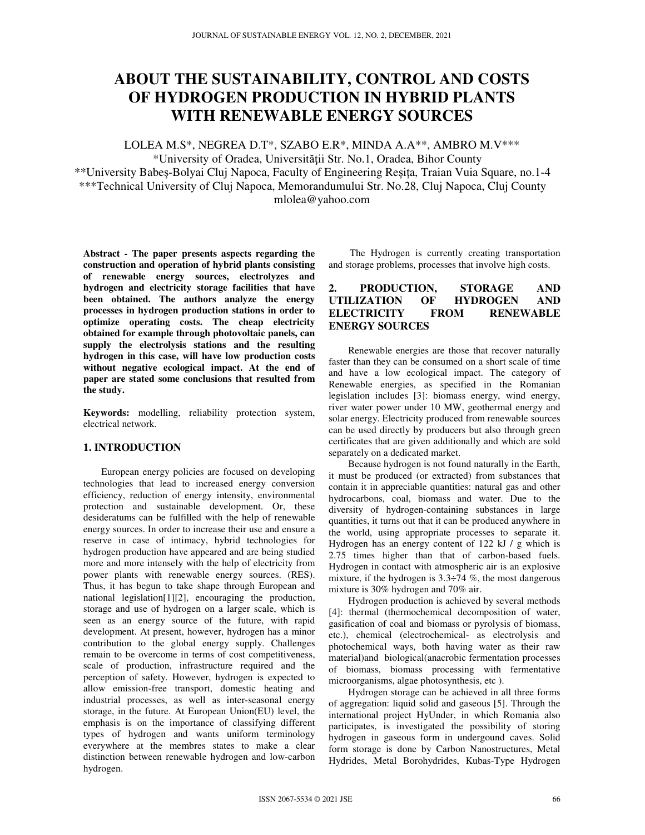# **ABOUT THE SUSTAINABILITY, CONTROL AND COSTS OF HYDROGEN PRODUCTION IN HYBRID PLANTS WITH RENEWABLE ENERGY SOURCES**

LOLEA M.S\*, NEGREA D.T\*, SZABO E.R\*, MINDA A.A\*\*, AMBRO M.V\*\*\*

\*University of Oradea, Universităţii Str. No.1, Oradea, Bihor County \*\*University Babeș-Bolyai Cluj Napoca, Faculty of Engineering Reșița, Traian Vuia Square, no.1-4 \*\*\*Technical University of Cluj Napoca, Memorandumului Str. No.28, Cluj Napoca, Cluj County mlolea@yahoo.com

**Abstract - The paper presents aspects regarding the construction and operation of hybrid plants consisting of renewable energy sources, electrolyzes and hydrogen and electricity storage facilities that have been obtained. The authors analyze the energy processes in hydrogen production stations in order to optimize operating costs. The cheap electricity obtained for example through photovoltaic panels, can supply the electrolysis stations and the resulting hydrogen in this case, will have low production costs without negative ecological impact. At the end of paper are stated some conclusions that resulted from the study.** 

**Keywords:** modelling, reliability protection system, electrical network.

### **1. INTRODUCTION**

European energy policies are focused on developing technologies that lead to increased energy conversion efficiency, reduction of energy intensity, environmental protection and sustainable development. Or, these desideratums can be fulfilled with the help of renewable energy sources. In order to increase their use and ensure a reserve in case of intimacy, hybrid technologies for hydrogen production have appeared and are being studied more and more intensely with the help of electricity from power plants with renewable energy sources. (RES). Thus, it has begun to take shape through European and national legislation[1][2], encouraging the production, storage and use of hydrogen on a larger scale, which is seen as an energy source of the future, with rapid development. At present, however, hydrogen has a minor contribution to the global energy supply. Challenges remain to be overcome in terms of cost competitiveness, scale of production, infrastructure required and the perception of safety. However, hydrogen is expected to allow emission-free transport, domestic heating and industrial processes, as well as inter-seasonal energy storage, in the future. At European Union(EU) level, the emphasis is on the importance of classifying different types of hydrogen and wants uniform terminology everywhere at the membres states to make a clear distinction between renewable hydrogen and low-carbon hydrogen.

The Hydrogen is currently creating transportation and storage problems, processes that involve high costs.

## **2. PRODUCTION, STORAGE AND UTILIZATION OF HYDROGEN AND ELECTRICITY FROM RENEWABLE ENERGY SOURCES**

Renewable energies are those that recover naturally faster than they can be consumed on a short scale of time and have a low ecological impact. The category of Renewable energies, as specified in the Romanian legislation includes [3]: biomass energy, wind energy, river water power under 10 MW, geothermal energy and solar energy. Electricity produced from renewable sources can be used directly by producers but also through green certificates that are given additionally and which are sold separately on a dedicated market.

Because hydrogen is not found naturally in the Earth, it must be produced (or extracted) from substances that contain it in appreciable quantities: natural gas and other hydrocarbons, coal, biomass and water. Due to the diversity of hydrogen-containing substances in large quantities, it turns out that it can be produced anywhere in the world, using appropriate processes to separate it. Hydrogen has an energy content of 122 kJ / g which is 2.75 times higher than that of carbon-based fuels. Hydrogen in contact with atmospheric air is an explosive mixture, if the hydrogen is 3.3÷74 %, the most dangerous mixture is 30% hydrogen and 70% air.

Hydrogen production is achieved by several methods [4]: thermal (thermochemical decomposition of water, gasification of coal and biomass or pyrolysis of biomass, etc.), chemical (electrochemical- as electrolysis and photochemical ways, both having water as their raw material)and biological(anacrobic fermentation processes of biomass, biomass processing with fermentative microorganisms, algae photosynthesis, etc ).

Hydrogen storage can be achieved in all three forms of aggregation: liquid solid and gaseous [5]. Through the international project HyUnder, in which Romania also participates, is investigated the possibility of storing hydrogen in gaseous form in undergound caves. Solid form storage is done by Carbon Nanostructures, Metal Hydrides, Metal Borohydrides, Kubas-Type Hydrogen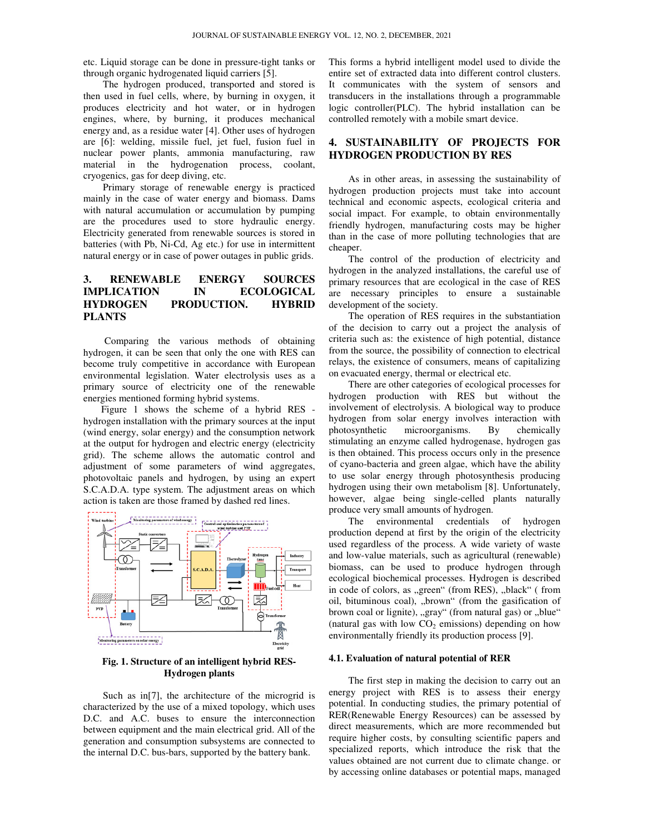etc. Liquid storage can be done in pressure-tight tanks or through organic hydrogenated liquid carriers [5].

The hydrogen produced, transported and stored is The hydrogen produced, transported and stored is then used in fuel cells, where, by burning in oxygen, it produces electricity and hot water, or in hydrogen produces mechanical engines, where, by burning, it produces mechanical energy and, as a residue water [4]. Other uses of hydrogen are [6]: welding, missile fuel, jet fuel, fusion fuel in nuclear power plants, ammonia manufacturing, raw material in the hydrogenation process, coolant, cryogenics, gas for deep diving, etc. are [6]: welding, missile fuel, jet fuel, fusion fuel in nuclear power plants, ammonia manufacturing, raw material in the hydrogenation process, coolant, cryogenics, gas for deep diving, etc. Primary storage of renewable e

Primary storage of renewable energy is practiced mainly in the case of water energy and biomass. Dams with natural accumulation or accumulation by pumping are the procedures used to store hydraulic energy. Electricity generated from renewable sources is stored in batteries (with Pb, Ni-Cd, Ag etc.) for use in intermittent natural energy or in case of power outages in public grids. natural energy or

#### **3. RENEWABLE ENERGY SOURCES IMPLICATION IN ECOLOGICAL HYDROGEN PRODUCTION. HYBRID PLANTS ENERGY**

Comparing the various methods of obtaining hydrogen, it can be seen that only the one with RES can become truly competitive in accordance with European environmental legislation. Water electrolysis uses as a primary source of electricity one of the renewable energies mentioned forming hybrid systems. accordance with European<br>ater electrolysis uses as a<br>y one of the renewable<br>brid systems.<br>eeme of a hybrid RES -

Figure 1 shows the scheme of a hybrid RES hydrogen installation with the primary sources at the input (wind energy, solar energy) and the consumption network at the output for hydrogen and electric energy (electricity grid). The scheme allows the automatic control and adjustment of some parameters of wind aggregates, photovoltaic panels and hydrogen, by using an expert S.C.A.D.A. type system. The adjustment areas on which action is taken are those framed by dashed red lines (wind energy, solar energy) and the consumption ne<br>at the output for hydrogen and electric energy (elec<br>grid). The scheme allows the automatic contro<br>adjustment of some parameters of wind aggre<br>photovoltaic panels and hydr



Fig. 1. Structure of an intelligent hybrid RES-**Hydrogen plants** 

Such as in<sup>[7]</sup>, the architecture of the microgrid is characterized by the use of a mixed topology, which uses D.C. and A.C. buses to ensure the interconnection between equipment and the main electrical grid. All of the generation and consumption subsystems are connected to the internal D.C. bus-bars, supported by the battery bank.

entire set of extracted data into different control clusters. It communicates with the system of sensors and transducers in the installations through a programmable logic controller(PLC). The hybrid installation can be controlled remotely with a mobile smart device. forms a hybrid intelligent model used to divide the extended data into different control clusters.<br>
Immunicates with the system of sensors and ducers in the installations through a programmable controller (PLC). The hybri

# **4. SUSTAINABILITY OF PROJECTS FOR HYDROGEN PRODUCTION BY RES PRODUCTION**

As in other areas, in assessing the sustainability of hydrogen production projects must take into account technical and economic aspects, ecological criteria and social impact. For example, to obtain environmentally friendly hydrogen, manufacturing costs may be higher than in the case of more polluting technologies that are cheaper. As in other areas, in assessing the sustaina<br>ydrogen production projects must take into<br>echnical and economic aspects, ecological crit<br>ocial impact. For example, to obtain environ<br>riendly hydrogen, manufacturing costs may

The control of the production of electricity and hydrogen in the analyzed installations, the careful use of primary resources that are ecological in the case of RES are necessary principles to ensure a sustainable development of the society.

The operation of RES requires in the substantiation of the decision to carry out a project the analysis of criteria such as: the existence of high potential, distance from the source, the possibility of connection to electrical relays, the existence of consumers, means of capitalizing on evacuated energy, thermal or electrical etc.

δουσική της προευμείας της της δίκης του στηγείου του στηγείου του στην προεδουδική της προεδουδική της προεδουδική της προεδουδική της προεδουδική της προεδουδική της προεδουδική της προεδουδική της προεδουδική της προ There are other categories of ecological processes for hydrogen production with RES but without the involvement of electrolysis. A biological way to produce hydrogen from solar energy involves interaction with photosynthetic microorganisms. B stimulating an enzyme called hydrogenase, hydrogen gas is then obtained. This process occurs only in the presence of cyano-bacteria and green algae, which have the ability to use solar energy through photosynthesis producing hydrogen using their own metabolism [8]. Unfortunately, however, algae being single-celled plants naturally produce very small amounts of hydrogen. roduction with RES but without the<br>of electrolysis. A biological way to produce<br>om solar energy involves interaction with<br>ic microorganisms. By chemically bacteria and green algae, which have the ability<br>blar energy through photosynthesis producing<br>using their own metabolism [8]. Unfortunately,

The environmental credentials of hydrogen production depend at first by the origin of the electricity used regardless of the process. A wide variety of waste and low-value materials, such as agricultural (renewable) biomass, can be used to produce hydrogen through ecological biochemical processes. Hydrogen is described in code of colors, as "green" (from RES), "black" (from oil, bituminous coal), "brown" (from the gasification of brown coal or lignite), "gray" (from natural gas) or "blue" (natural gas with low  $CO<sub>2</sub>$  emissions) depending on how environmentally friendly its production process [9]. however, algae being single-celled plants naturally<br>produce very small amounts of hydrogen.<br>The environmental credentials of hydrogen<br>production depend at first by the origin of the electricity<br>used regardless of the proce

#### **4.1. Evaluation of natural potential of RER Evaluation**

The first step in making the decision to carry out an energy project with RES is to assess their energy potential. In conducting studies, the primary potential of RER(Renewable Energy Resources) can be assessed by potential. In conducting studies, the primary potential of RER(Renewable Energy Resources) can be assessed by direct measurements, which are more recommended but require higher costs, by consulting scientific papers and specialized reports, which introduce the risk that the values obtained are not current due to climate change. or by accessing online databases or potential maps, managed costs, by consulting sc<br>borts, which introduce<br>I are not current due to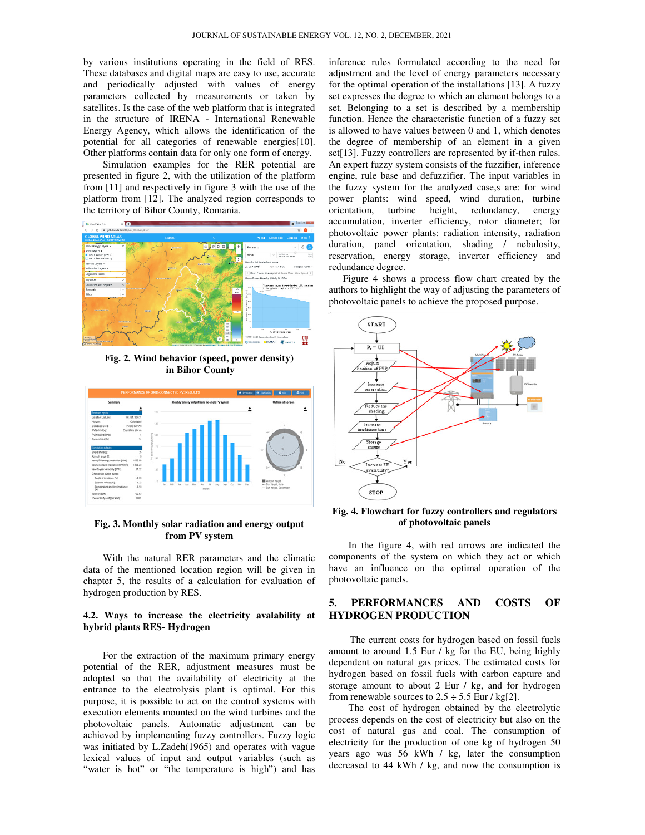by various institutions operating in the field of RES. These databases and digital maps are easy to use, accurate and periodically adjusted with values of energy parameters collected by measurements or taken by satellites. Is the case of the web platform that is integrated in the structure of IRENA - International Renewable Energy Agency, which allows the identification of the potential for all categories of renewable energies[10]. Other platforms contain data for only one form of energy. tutions operating in the field of RES.<br>and digital maps are easy to use, accurate<br>y adjusted with values of energy<br>ected by measurements or taken by<br>case of the web platform that is integrated

Simulation examples for the RER potential are presented in figure 2, with the utilization of the platform from [11] and respectively in figure 3 with the use of the platform from [12]. The analyzed region corresponds to the territory of Bihor County, Romania.



**Fig. 2. Wind behavior (speed, power density) in Bihor County** 



#### **Fig. 3. Monthly solar radiation and energy output from PV system**

With the natural RER parameters and the climatic data of the mentioned location region will be given in chapter 5, the results of a calculation for evaluation of hydrogen production by RES.

#### 4.2. Ways to increase the electricity avalability at **hybrid plants RES- Hydrogen**

For the extraction of the maximum primary energy potential of the RER, adjustment measures must be adopted so that the availability of electricity at the entrance to the electrolysis plant is optimal. For this purpose, it is possible to act on the control systems with execution elements mounted on the wind turbines and the photovoltaic panels. Automatic adjustment can achieved by implementing fuzzy controllers. Fuzzy logic was initiated by L.Zadeh(1965) and operates with vague lexical values of input and output variables ( "water is hot" or "the temperature is high") and has the extraction of the maximum primary energy<br>of the RER, adjustment measures must be<br>so that the availability of electricity at the<br>to the electrolysis plant is optimal. For this purpose, it is possible to act on the control systems with execution elements mounted on the wind turbines and the photovoltaic panels. Automatic adjustment can be achieved by implementing fuzzy controllers. Fuzzy logic<br>was initiated by L.Zadeh(1965) and operates with vague<br>lexical values of input and output variables (such as

inference rules formulated according to the need for adjustment and the level of energy parameters necessary for the optimal operation of the installations [13]. A fuzzy set expresses the degree to which an element belongs to a set. Belonging to a set is described by a membership function. Hence the characteristic function of a fuzzy set is allowed to have values between 0 and 1, which denotes the degree of membership of an element in a given set. Belonging to a set is described by a membership function. Hence the characteristic function of a fuzzy set is allowed to have values between 0 and 1, which denotes the degree of membership of an element in a given set An expert fuzzy system consists of the fuzzifier, inference engine, rule base and defuzzifier. The input variables in the fuzzy system for the analyzed case,s are: for wind power plants: wind speed, wind duration, turbine orientation, turbine height, redundancy, energy accumulation, inverter efficiency, rotor diameter; for photovoltaic power plants: radiation intensity, radiation duration, panel orientation, shading / nebulosity, reservation, energy storage, inverter efficiency and redundance degree. formulated according to the need for<br>the level of energy parameters necessary<br>operation of the installations [13]. A fuzzy engine, rule base and defuzzifier. The input variables in<br>the fuzzy system for the analyzed case, sare: for wind<br>power plants: wind speed, wind duration, turbine<br>orientation, turbine height, redundancy, energy<br>accumulation

Figure 4 shows a process flow chart created by the authors to highlight the way of adjusting the parameters of photovoltaic panels to achieve the proposed purpose.



#### **Fig. 4. Flowchart for fuzzy controllers and regulators of photovoltaic panels controllers photovoltaic**

In the figure 4, with red arrows are indicated the components of the system on which they act or which have an influence on the optimal operation of the photovoltaic panels. If the figure 4, with red arrows are indicated the<br>nents of the system on which they act or which<br>an influence on the optimal operation of the<br>voltaic panels.<br>**PERFORMANCES AND COSTS OF**<br>**ROGEN PRODUCTION**<br>The current cost

## **5. PERFORMANCES AND COSTS OF HYDROGEN PRODUCTION**

The current costs for hydrogen based on fossil f amount to around 1.5 Eur / kg for the EU, being highly dependent on natural gas prices. The estimated costs for hydrogen based on fossil fuels with carbon capture and amount to around 1.5 Eur / kg for the EU, being highly dependent on natural gas prices. The estimated costs for hydrogen based on fossil fuels with carbon capture and storage amount to about 2 Eur / kg, and for hydrogen from renewable sources to  $2.5 \div 5.5$  Eur / kg[2].

The cost of hydrogen obtained by the electrolytic process depends on the cost of electricity but also on the cost of natural gas and coal. The consumption of electricity for the production of one kg of hydrogen 50 years ago was 56 kWh / kg, later the consumption decreased to 44 kWh / kg, and now the consumption is e cost of hydrogen obtained by the<br>depends on the cost of electricity but<br>natural gas and coal. The consi<br>ty for the production of one kg of h<br>go was 56 kWh / kg, later the c<br>d to 44 kWh / kg, and now the con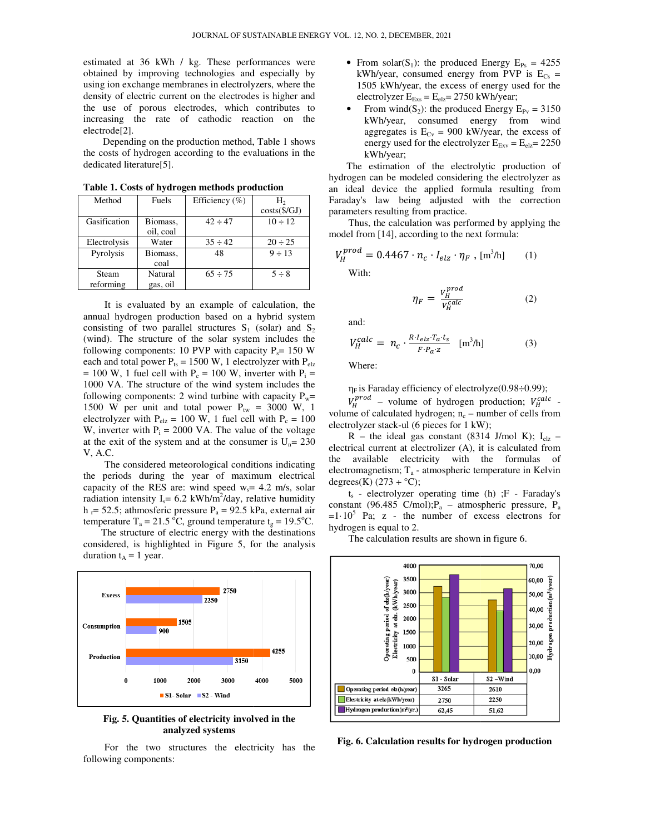estimated at 36 kWh / kg. These performances were obtained by improving technologies and especially by using ion exchange membranes in electrolyzers, where the density of electric current on the electrodes is higher and the use of porous electrodes, which contributes to increasing the rate of cathodic reaction on the electrode[2]. ric current on the electrodes is higher and<br>orous electrodes, which contributes to<br>rate of cathodic reaction on the<br>to rate of cathodic reaction on the<br>drogen according to the evaluations in the

Depending on the production method, Table 1 shows the costs of hydrogen according to the evaluation dedicated literature[5].

| Method       | Fuels     | Efficiency (%) | H,                   |
|--------------|-----------|----------------|----------------------|
|              |           |                | $costs(\frac{C}{d})$ |
| Gasification | Biomass,  | $42 \div 47$   | $10 \div 12$         |
|              | oil, coal |                |                      |
| Electrolysis | Water     | $35 \div 42$   | $20 \div 25$         |
| Pyrolysis    | Biomass,  | 48             | $9 \div 13$          |
|              | coal      |                |                      |
| Steam        | Natural   | $65 \div 75$   | $5 \div 8$           |
| reforming    | gas, oil  |                |                      |

**Table 1. Costs of hydrogen methods production hydrogen** 

It is evaluated by an example of calculation, the annual hydrogen production based on a hybrid system consisting of two parallel structures  $S_1$  (solar) and  $S_2$ (wind). The structure of the solar system includes the following components: 10 PVP with capacity  $P_s = 150$  W each and total power  $P_{ts} = 1500 \text{ W}$ , 1 electrolyzer with  $P_{elz}$  $= 100$  W, 1 fuel cell with P<sub>c</sub> = 100 W, inverter with P<sub>i</sub> = 1000 VA. The structure of the wind system includes the 1000 VA. The structure of the wind system includes the following components: 2 wind turbine with capacity  $P_w=$ 1500 W per unit and total power  $P_{tw} = 3000$  W, 1 electrolyzer with  $P_{\text{elz}} = 100 \text{ W}$ , 1 fuel cell with  $P_c = 100$ W, inverter with  $P_i = 2000$  VA. The value of the voltage at the exit of the system and at the consumer is  $U_n = 230$ V, A.C. It is evaluated by an example of calculation, the annual hydrogen production based on a hybrid system consisting of two parallel structures  $S_1$  (solar) and  $S_2$ 

The considered meteorological conditions indicating the periods during the year of maximum electrical the periods during the year of maximum electrical capacity of the RES are: wind speed  $w_s$  = 4.2 m/s, solar radiation intensity  $I_s = 6.2$  kWh/m<sup>2</sup>/day, relative humidity  $h_r$  = 52.5; athmosferic pressure  $P_a$  = 92.5 kPa, external air temperature T<sub>a</sub> = 21.5 °C, ground temperature t<sub>g</sub> = 19.5 °C.

The structure of electric energy with the destinations considered, is highlighted in Figure 5, for the analysis duration  $t_A = 1$  year.



**Fig. 5. Quantities of electricity involved in the analyzed systems** 

For the two structures the electricity has the following components:

- kWh/year, consumed energy from PVP is  $E_{Cs}$  = 1505 kWh/year, the excess of energy used for the electrolyzer  $E_{Exs} = E_{elz} = 2750$  kWh/year; • From solar(S<sub>1</sub>): the produced Energy  $E_{Ps} = 4255$
- From wind(S<sub>2</sub>): the produced Energy  $E_{Pv} = 3150$ kWh/year, consumed energy from wind aggregates is  $E_{Cv} = 900$  kW/year, the excess of energy used for the electrolyzer  $E_{\text{Exv}} = E_{\text{elz}} = 2250$ kWh/year;

The estimation of the electrolytic production of hydrogen can be modeled considering the electrolyzer as an ideal device the applied formula resulting from Faraday's law being adjusted with the correction parameters resulting from practice. ideal device the applied formula result<br>day's law being adjusted with the<br>meters resulting from practice.<br>Thus, the calculation was performed by applel from [14], according to the next formula:

Thus, the calculation was performed by applying the model from [14], according to the next formula

$$
V_H^{prod} = 0.4467 \cdot n_c \cdot I_{elz} \cdot \eta_F , \, [\text{m}^3/\text{h}] \qquad (1)
$$

With:

$$
\eta_F = \frac{V_H^{prod}}{V_H^{calc}} \tag{2}
$$

and:

$$
V_H^{calc} = n_c \cdot \frac{R \cdot I_{elz} \cdot T_a \cdot t_s}{F \cdot P_a \cdot z} \quad [m^3/h] \tag{3}
$$

Where:

 $\eta_F$  is Faraday efficiency of electrolyze(0.98÷0.99);

 $V_H^{prod}$  – volume of hydrogen production;  $V_H^{calc}$  volume of calculated hydrogen;  $n_c$  – number of cells from electrolyzer stack-ul (6 pieces for 1 kW);

 $R$  – the ideal gas constant (8314 J/mol K);  $I_{elz}$  – electrical current at electrolizer (A), it is calculated from the available electricity with the formulas of  $electromagnetism; T<sub>a</sub> - atmospheric temperature in Kelvin$ degrees(K)  $(273 + °C)$ ;

 $t_s$  - electrolyzer operating time (h) ; $F$  - Faraday's constant (96.485 C/mol); $P_a$  – atmospheric pressure,  $P_a$  $=1.10^5$  Pa; z - the number of excess electrons for hydrogen is equal to 2.

The calculation results are shown in figure 6.



**Fig. 6. Calculation results for hydrogen production**